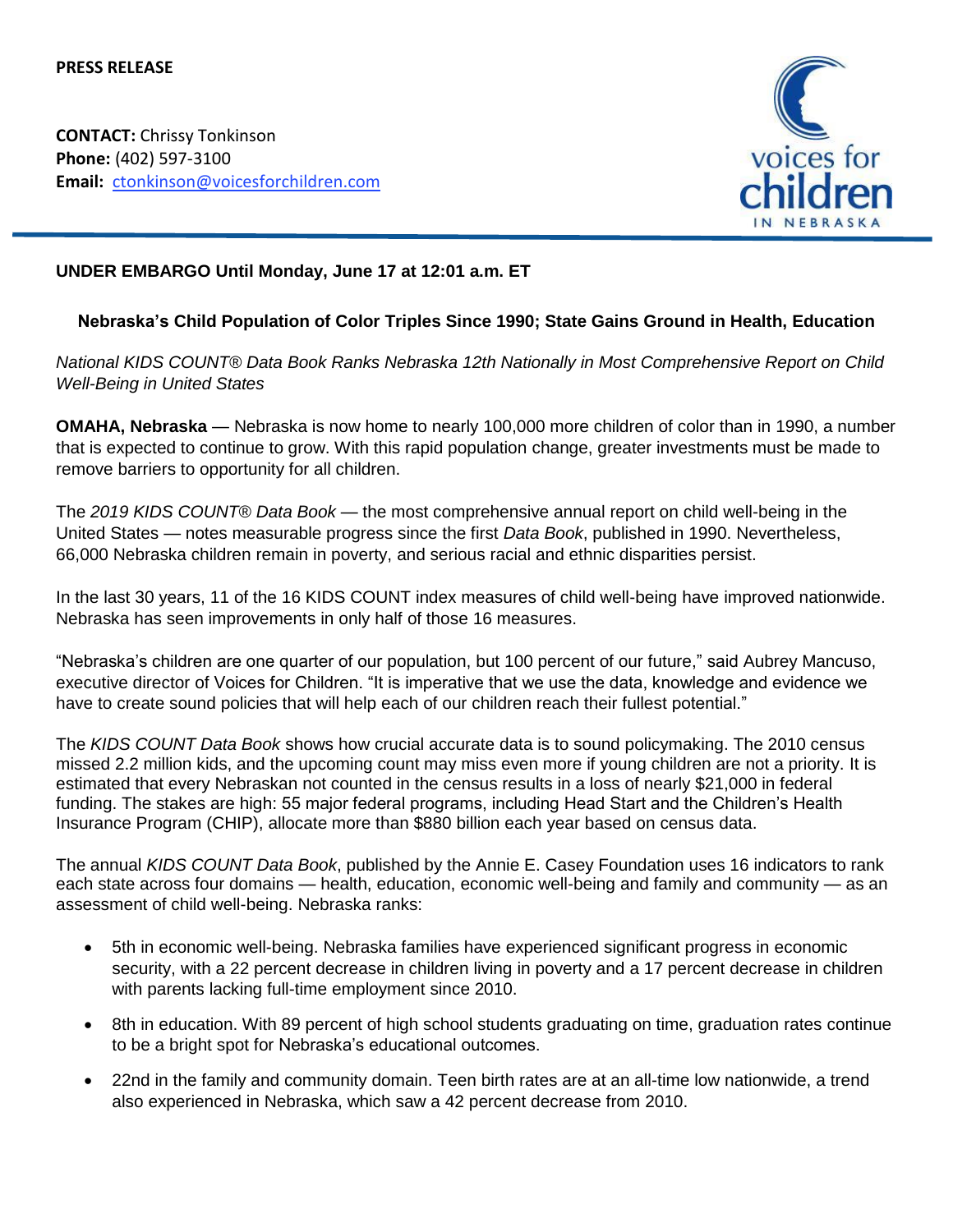**CONTACT:** Chrissy Tonkinson **Phone:** (402) 597-3100 **Email:** ctonkinson@voicesforchildren.com



# **UNDER EMBARGO Until Monday, June 17 at 12:01 a.m. ET**

### **Nebraska's Child Population of Color Triples Since 1990; State Gains Ground in Health, Education**

*National KIDS COUNT® Data Book Ranks Nebraska 12th Nationally in Most Comprehensive Report on Child Well-Being in United States*

**OMAHA, Nebraska** — Nebraska is now home to nearly 100,000 more children of color than in 1990, a number that is expected to continue to grow. With this rapid population change, greater investments must be made to remove barriers to opportunity for all children.

The *2019 KIDS COUNT® Data Book* — the most comprehensive annual report on child well-being in the United States — notes measurable progress since the first *Data Book*, published in 1990. Nevertheless, 66,000 Nebraska children remain in poverty, and serious racial and ethnic disparities persist.

In the last 30 years, 11 of the 16 KIDS COUNT index measures of child well-being have improved nationwide. Nebraska has seen improvements in only half of those 16 measures.

"Nebraska's children are one quarter of our population, but 100 percent of our future," said Aubrey Mancuso, executive director of Voices for Children. "It is imperative that we use the data, knowledge and evidence we have to create sound policies that will help each of our children reach their fullest potential."

The *KIDS COUNT Data Book* shows how crucial accurate data is to sound policymaking. The 2010 census missed 2.2 million kids, and the upcoming count may miss even more if young children are not a priority. It is estimated that every Nebraskan not counted in the census results in a loss of nearly \$21,000 in federal funding. The stakes are high: 55 major federal programs, including Head Start and the Children's Health Insurance Program (CHIP), allocate more than \$880 billion each year based on census data.

The annual *KIDS COUNT Data Book*, published by the Annie E. Casey Foundation uses 16 indicators to rank each state across four domains — health, education, economic well-being and family and community — as an assessment of child well-being. Nebraska ranks:

- 5th in economic well-being. Nebraska families have experienced significant progress in economic security, with a 22 percent decrease in children living in poverty and a 17 percent decrease in children with parents lacking full-time employment since 2010.
- 8th in education. With 89 percent of high school students graduating on time, graduation rates continue to be a bright spot for Nebraska's educational outcomes.
- 22nd in the family and community domain. Teen birth rates are at an all-time low nationwide, a trend also experienced in Nebraska, which saw a 42 percent decrease from 2010.